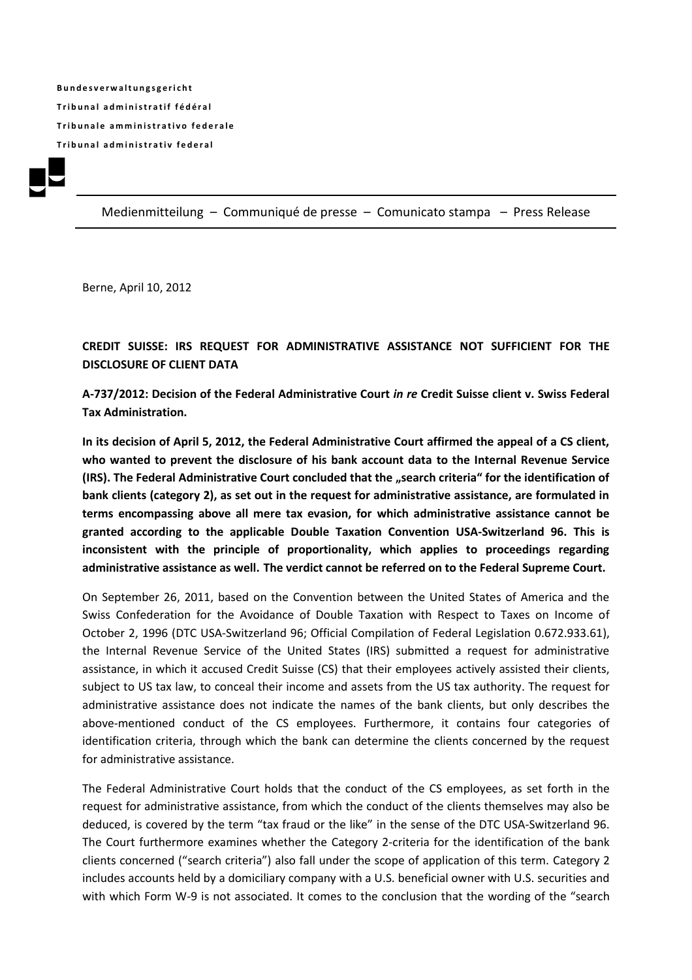**B u n d e s v e r w a l t u n g s g e r i c h t T r i b u n a l a d m i n i s t r a t i f f é d é r a l Tribunale amministrativo federale T r i b u n a l a d m i n i s t r a t i v f e d e r a l**



Medienmitteilung – Communiqué de presse – Comunicato stampa – Press Release

Berne, April 10, 2012

**CREDIT SUISSE: IRS REQUEST FOR ADMINISTRATIVE ASSISTANCE NOT SUFFICIENT FOR THE DISCLOSURE OF CLIENT DATA**

**A-737/2012: Decision of the Federal Administrative Court** *in re* **Credit Suisse client v. Swiss Federal Tax Administration.**

**In its decision of April 5, 2012, the Federal Administrative Court affirmed the appeal of a CS client, who wanted to prevent the disclosure of his bank account data to the Internal Revenue Service (IRS). The Federal Administrative Court concluded that the "search criteria" for the identification of bank clients (category 2), as set out in the request for administrative assistance, are formulated in terms encompassing above all mere tax evasion, for which administrative assistance cannot be granted according to the applicable Double Taxation Convention USA-Switzerland 96. This is inconsistent with the principle of proportionality, which applies to proceedings regarding administrative assistance as well. The verdict cannot be referred on to the Federal Supreme Court.**

On September 26, 2011, based on the Convention between the United States of America and the Swiss Confederation for the Avoidance of Double Taxation with Respect to Taxes on Income of October 2, 1996 (DTC USA-Switzerland 96; Official Compilation of Federal Legislation 0.672.933.61), the Internal Revenue Service of the United States (IRS) submitted a request for administrative assistance, in which it accused Credit Suisse (CS) that their employees actively assisted their clients, subject to US tax law, to conceal their income and assets from the US tax authority. The request for administrative assistance does not indicate the names of the bank clients, but only describes the above-mentioned conduct of the CS employees. Furthermore, it contains four categories of identification criteria, through which the bank can determine the clients concerned by the request for administrative assistance.

The Federal Administrative Court holds that the conduct of the CS employees, as set forth in the request for administrative assistance, from which the conduct of the clients themselves may also be deduced, is covered by the term "tax fraud or the like" in the sense of the DTC USA-Switzerland 96. The Court furthermore examines whether the Category 2-criteria for the identification of the bank clients concerned ("search criteria") also fall under the scope of application of this term. Category 2 includes accounts held by a domiciliary company with a U.S. beneficial owner with U.S. securities and with which Form W-9 is not associated. It comes to the conclusion that the wording of the "search